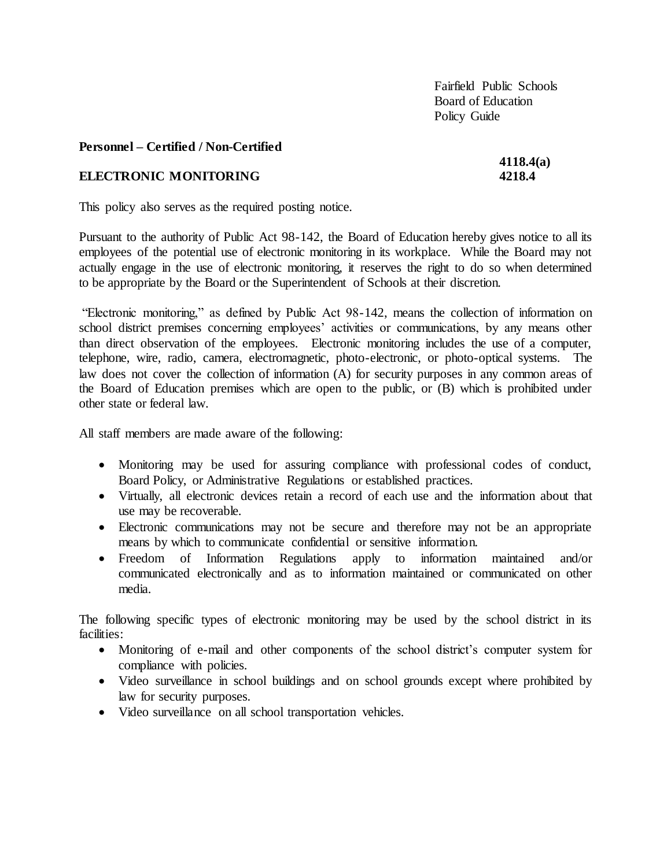Fairfield Public Schools Board of Education Policy Guide

#### **Personnel – Certified / Non-Certified**

#### **ELECTRONIC MONITORING 4218.4**

# **4118.4(a)**

This policy also serves as the required posting notice.

Pursuant to the authority of Public Act 98-142, the Board of Education hereby gives notice to all its employees of the potential use of electronic monitoring in its workplace. While the Board may not actually engage in the use of electronic monitoring, it reserves the right to do so when determined to be appropriate by the Board or the Superintendent of Schools at their discretion.

"Electronic monitoring," as defined by Public Act 98-142, means the collection of information on school district premises concerning employees' activities or communications, by any means other than direct observation of the employees. Electronic monitoring includes the use of a computer, telephone, wire, radio, camera, electromagnetic, photo-electronic, or photo-optical systems. The law does not cover the collection of information (A) for security purposes in any common areas of the Board of Education premises which are open to the public, or (B) which is prohibited under other state or federal law.

All staff members are made aware of the following:

- Monitoring may be used for assuring compliance with professional codes of conduct, Board Policy, or Administrative Regulations or established practices.
- Virtually, all electronic devices retain a record of each use and the information about that use may be recoverable.
- Electronic communications may not be secure and therefore may not be an appropriate means by which to communicate confidential or sensitive information.
- Freedom of Information Regulations apply to information maintained and/or communicated electronically and as to information maintained or communicated on other media.

The following specific types of electronic monitoring may be used by the school district in its facilities:

- Monitoring of e-mail and other components of the school district's computer system for compliance with policies.
- Video surveillance in school buildings and on school grounds except where prohibited by law for security purposes.
- Video surveillance on all school transportation vehicles.